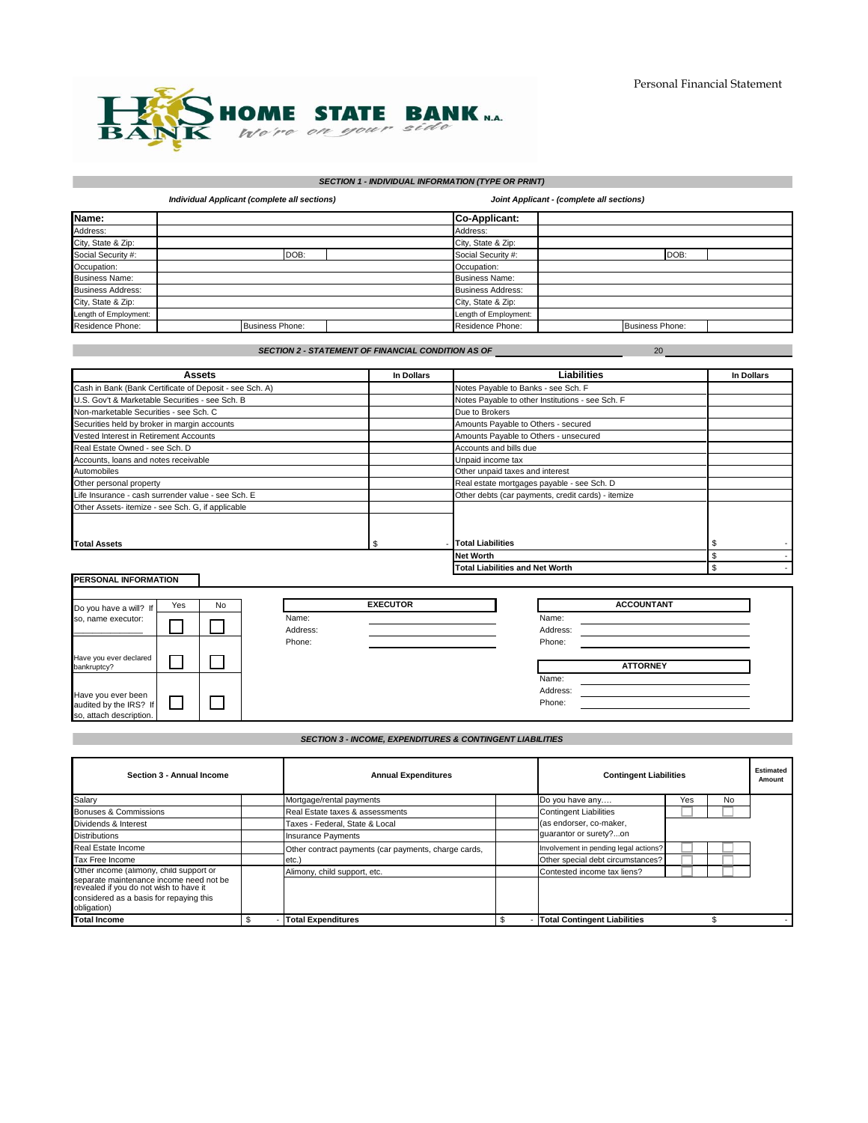20



# *SECTION 1 - INDIVIDUAL INFORMATION (TYPE OR PRINT)*

|                          | Individual Applicant (complete all sections) |                          | Joint Applicant - (complete all sections) |  |  |  |  |
|--------------------------|----------------------------------------------|--------------------------|-------------------------------------------|--|--|--|--|
| Name:                    |                                              | <b>Co-Applicant:</b>     |                                           |  |  |  |  |
| Address:                 |                                              | Address:                 |                                           |  |  |  |  |
| City, State & Zip:       |                                              | City, State & Zip:       |                                           |  |  |  |  |
| Social Security #:       | DOB:                                         | Social Security #:       | DOB:                                      |  |  |  |  |
| Occupation:              |                                              | Occupation:              |                                           |  |  |  |  |
| <b>Business Name:</b>    |                                              | <b>Business Name:</b>    |                                           |  |  |  |  |
| <b>Business Address:</b> |                                              | <b>Business Address:</b> |                                           |  |  |  |  |
| City, State & Zip:       |                                              | City, State & Zip:       |                                           |  |  |  |  |
| Length of Employment:    |                                              | Length of Employment:    |                                           |  |  |  |  |
| Residence Phone:         | <b>Business Phone:</b>                       | Residence Phone:         | <b>Business Phone:</b>                    |  |  |  |  |

*SECTION 2 - STATEMENT OF FINANCIAL CONDITION AS OF* 

| Assets                                                  | In Dollars | <b>Liabilities</b>                                 | In Dollars |
|---------------------------------------------------------|------------|----------------------------------------------------|------------|
| Cash in Bank (Bank Certificate of Deposit - see Sch. A) |            | Notes Payable to Banks - see Sch. F                |            |
| U.S. Gov't & Marketable Securities - see Sch. B         |            | Notes Payable to other Institutions - see Sch. F   |            |
| Non-marketable Securities - see Sch. C                  |            | Due to Brokers                                     |            |
| Securities held by broker in margin accounts            |            | Amounts Payable to Others - secured                |            |
| Vested Interest in Retirement Accounts                  |            | Amounts Payable to Others - unsecured              |            |
| Real Estate Owned - see Sch. D                          |            | Accounts and bills due                             |            |
| Accounts, loans and notes receivable                    |            | Unpaid income tax                                  |            |
| Automobiles                                             |            | Other unpaid taxes and interest                    |            |
| Other personal property                                 |            | Real estate mortgages payable - see Sch. D         |            |
| Life Insurance - cash surrender value - see Sch. E      |            | Other debts (car payments, credit cards) - itemize |            |
| Other Assets- itemize - see Sch. G, if applicable       |            |                                                    |            |
|                                                         |            |                                                    |            |
| <b>Total Assets</b>                                     | SS.        | <b>Total Liabilities</b>                           |            |
|                                                         |            | <b>Net Worth</b>                                   |            |
|                                                         |            | <b>Total Liabilities and Net Worth</b>             |            |

| <b>PERSONAL INFORMATION</b> |     |    |          |                 |          |                   | . . |
|-----------------------------|-----|----|----------|-----------------|----------|-------------------|-----|
|                             |     |    |          |                 |          |                   |     |
| Do you have a will? If      | Yes | No |          | <b>EXECUTOR</b> |          | <b>ACCOUNTANT</b> |     |
| so, name executor:          |     |    | Name:    |                 | Name:    |                   |     |
|                             |     |    | Address: |                 | Address: |                   |     |
|                             |     |    | Phone:   |                 | Phone:   |                   |     |
| Have you ever declared      |     |    |          |                 |          |                   |     |
| bankruptcy?                 |     |    |          |                 |          | <b>ATTORNEY</b>   |     |
|                             |     |    |          |                 | Name:    |                   |     |
| Have you ever been          |     |    |          |                 | Address: |                   |     |
| audited by the IRS? If      |     |    |          |                 | Phone:   |                   |     |
| so, attach description.     |     |    |          |                 |          |                   |     |

## *SECTION 3 - INCOME, EXPENDITURES & CONTINGENT LIABILITIES*

| Section 3 - Annual Income                                                         |  | <b>Annual Expenditures</b>                           |  | <b>Contingent Liabilities</b>         |     |    | Estimated<br>Amount |
|-----------------------------------------------------------------------------------|--|------------------------------------------------------|--|---------------------------------------|-----|----|---------------------|
| Salary                                                                            |  | Mortgage/rental payments                             |  | Do you have any                       | Yes | No |                     |
| Bonuses & Commissions                                                             |  | Real Estate taxes & assessments                      |  | <b>Contingent Liabilities</b>         |     |    |                     |
| Dividends & Interest                                                              |  | Taxes - Federal, State & Local                       |  | (as endorser, co-maker,               |     |    |                     |
| <b>Distributions</b>                                                              |  | <b>Insurance Payments</b>                            |  | quarantor or surety?on                |     |    |                     |
| Real Estate Income                                                                |  | Other contract payments (car payments, charge cards, |  | Involvement in pending legal actions? |     |    |                     |
| Tax Free Income                                                                   |  | etc.                                                 |  | Other special debt circumstances?     |     |    |                     |
| Other income (alimony, child support or                                           |  | Alimony, child support, etc.                         |  | Contested income tax liens?           |     |    |                     |
| separate maintenance income need not be<br>revealed if you do not wish to have it |  |                                                      |  |                                       |     |    |                     |
| considered as a basis for repaying this                                           |  |                                                      |  |                                       |     |    |                     |
| obligation)                                                                       |  |                                                      |  |                                       |     |    |                     |
| <b>Total Income</b>                                                               |  | <b>Total Expenditures</b>                            |  | <b>Total Contingent Liabilities</b>   |     |    |                     |